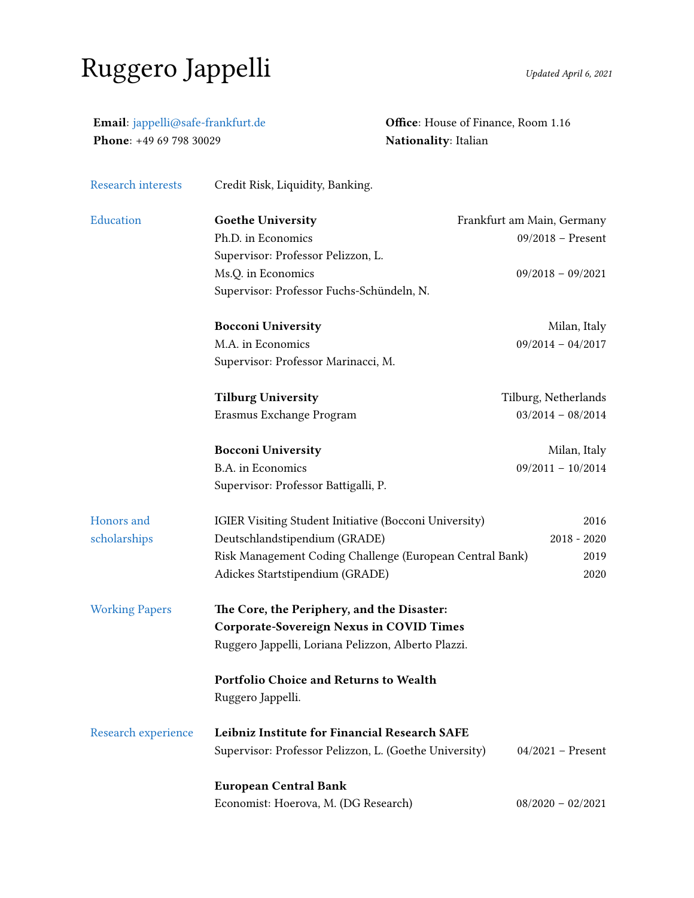## Ruggero Jappelli Updated April 6, 2021

| Email: jappelli@safe-frankfurt.de<br>Phone: +49 69 798 30029 |                                                          | Office: House of Finance, Room 1.16<br>Nationality: Italian |  |
|--------------------------------------------------------------|----------------------------------------------------------|-------------------------------------------------------------|--|
| <b>Research interests</b>                                    | Credit Risk, Liquidity, Banking.                         |                                                             |  |
| Education                                                    | <b>Goethe University</b>                                 | Frankfurt am Main, Germany                                  |  |
|                                                              | Ph.D. in Economics                                       | $09/2018$ - Present                                         |  |
|                                                              | Supervisor: Professor Pelizzon, L.                       |                                                             |  |
|                                                              | Ms.Q. in Economics                                       | $09/2018 - 09/2021$                                         |  |
|                                                              | Supervisor: Professor Fuchs-Schündeln, N.                |                                                             |  |
|                                                              | <b>Bocconi University</b>                                | Milan, Italy                                                |  |
|                                                              | M.A. in Economics                                        | $09/2014 - 04/2017$                                         |  |
|                                                              | Supervisor: Professor Marinacci, M.                      |                                                             |  |
|                                                              | <b>Tilburg University</b>                                | Tilburg, Netherlands                                        |  |
|                                                              | Erasmus Exchange Program                                 | $03/2014 - 08/2014$                                         |  |
|                                                              | <b>Bocconi University</b>                                | Milan, Italy                                                |  |
|                                                              | B.A. in Economics                                        | $09/2011 - 10/2014$                                         |  |
|                                                              | Supervisor: Professor Battigalli, P.                     |                                                             |  |
| Honors and                                                   | IGIER Visiting Student Initiative (Bocconi University)   | 2016                                                        |  |
| scholarships                                                 | Deutschlandstipendium (GRADE)                            | $2018 - 2020$                                               |  |
|                                                              | Risk Management Coding Challenge (European Central Bank) | 2019                                                        |  |
|                                                              | Adickes Startstipendium (GRADE)                          | 2020                                                        |  |
| <b>Working Papers</b>                                        | The Core, the Periphery, and the Disaster:               |                                                             |  |
|                                                              | <b>Corporate-Sovereign Nexus in COVID Times</b>          |                                                             |  |
|                                                              | Ruggero Jappelli, Loriana Pelizzon, Alberto Plazzi.      |                                                             |  |
|                                                              | Portfolio Choice and Returns to Wealth                   |                                                             |  |
|                                                              | Ruggero Jappelli.                                        |                                                             |  |
| Research experience                                          | Leibniz Institute for Financial Research SAFE            |                                                             |  |
|                                                              | Supervisor: Professor Pelizzon, L. (Goethe University)   | $04/2021$ – Present                                         |  |
|                                                              | <b>European Central Bank</b>                             |                                                             |  |
|                                                              | Economist: Hoerova, M. (DG Research)                     | $08/2020 - 02/2021$                                         |  |